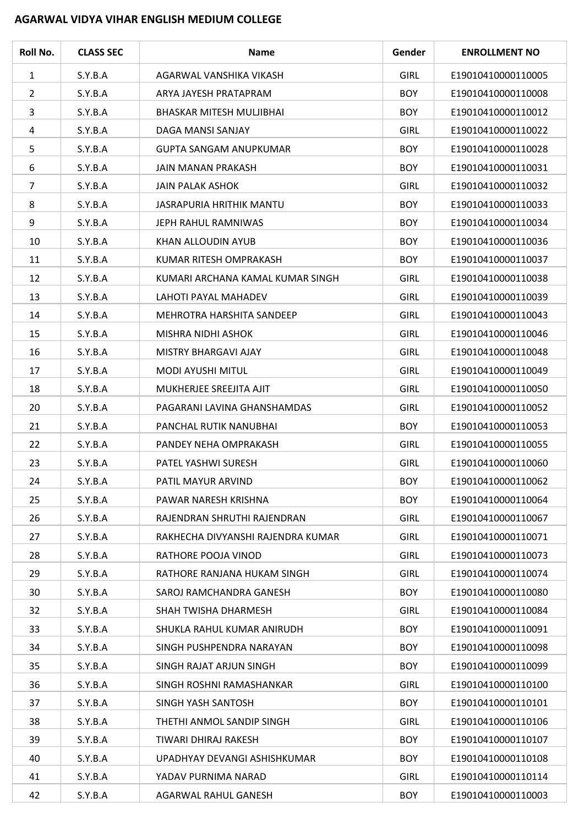## **AGARWAL VIDYA VIHAR ENGLISH MEDIUM COLLEGE**

| Roll No.       | <b>CLASS SEC</b> | <b>Name</b>                       | Gender      | <b>ENROLLMENT NO</b> |
|----------------|------------------|-----------------------------------|-------------|----------------------|
| $\mathbf{1}$   | S.Y.B.A          | AGARWAL VANSHIKA VIKASH           | <b>GIRL</b> | E19010410000110005   |
| $\overline{2}$ | S.Y.B.A          | ARYA JAYESH PRATAPRAM             | <b>BOY</b>  | E19010410000110008   |
| 3              | S.Y.B.A          | BHASKAR MITESH MULJIBHAI          | <b>BOY</b>  | E19010410000110012   |
| 4              | S.Y.B.A          | DAGA MANSI SANJAY                 | <b>GIRL</b> | E19010410000110022   |
| 5              | S.Y.B.A          | <b>GUPTA SANGAM ANUPKUMAR</b>     | <b>BOY</b>  | E19010410000110028   |
| 6              | S.Y.B.A          | <b>JAIN MANAN PRAKASH</b>         | <b>BOY</b>  | E19010410000110031   |
| 7              | S.Y.B.A          | <b>JAIN PALAK ASHOK</b>           | <b>GIRL</b> | E19010410000110032   |
| 8              | S.Y.B.A          | JASRAPURIA HRITHIK MANTU          | <b>BOY</b>  | E19010410000110033   |
| 9              | S.Y.B.A          | JEPH RAHUL RAMNIWAS               | <b>BOY</b>  | E19010410000110034   |
| 10             | S.Y.B.A          | KHAN ALLOUDIN AYUB                | <b>BOY</b>  | E19010410000110036   |
| 11             | S.Y.B.A          | KUMAR RITESH OMPRAKASH            | <b>BOY</b>  | E19010410000110037   |
| 12             | S.Y.B.A          | KUMARI ARCHANA KAMAL KUMAR SINGH  | <b>GIRL</b> | E19010410000110038   |
| 13             | S.Y.B.A          | LAHOTI PAYAL MAHADEV              | <b>GIRL</b> | E19010410000110039   |
| 14             | S.Y.B.A          | MEHROTRA HARSHITA SANDEEP         | <b>GIRL</b> | E19010410000110043   |
| 15             | S.Y.B.A          | MISHRA NIDHI ASHOK                | <b>GIRL</b> | E19010410000110046   |
| 16             | S.Y.B.A          | MISTRY BHARGAVI AJAY              | <b>GIRL</b> | E19010410000110048   |
| 17             | S.Y.B.A          | <b>MODI AYUSHI MITUL</b>          | <b>GIRL</b> | E19010410000110049   |
| 18             | S.Y.B.A          | MUKHERJEE SREEJITA AJIT           | <b>GIRL</b> | E19010410000110050   |
| 20             | S.Y.B.A          | PAGARANI LAVINA GHANSHAMDAS       | <b>GIRL</b> | E19010410000110052   |
| 21             | S.Y.B.A          | PANCHAL RUTIK NANUBHAI            | <b>BOY</b>  | E19010410000110053   |
| 22             | S.Y.B.A          | PANDEY NEHA OMPRAKASH             | <b>GIRL</b> | E19010410000110055   |
| 23             | S.Y.B.A          | PATEL YASHWI SURESH               | <b>GIRL</b> | E19010410000110060   |
| 24             | S.Y.B.A          | PATIL MAYUR ARVIND                | <b>BOY</b>  | E19010410000110062   |
| 25             | S.Y.B.A          | PAWAR NARESH KRISHNA              | <b>BOY</b>  | E19010410000110064   |
| 26             | S.Y.B.A          | RAJENDRAN SHRUTHI RAJENDRAN       | <b>GIRL</b> | E19010410000110067   |
| 27             | S.Y.B.A          | RAKHECHA DIVYANSHI RAJENDRA KUMAR | <b>GIRL</b> | E19010410000110071   |
| 28             | S.Y.B.A          | RATHORE POOJA VINOD               | <b>GIRL</b> | E19010410000110073   |
| 29             | S.Y.B.A          | RATHORE RANJANA HUKAM SINGH       | <b>GIRL</b> | E19010410000110074   |
| 30             | S.Y.B.A          | SAROJ RAMCHANDRA GANESH           | <b>BOY</b>  | E19010410000110080   |
| 32             | S.Y.B.A          | SHAH TWISHA DHARMESH              | <b>GIRL</b> | E19010410000110084   |
| 33             | S.Y.B.A          | SHUKLA RAHUL KUMAR ANIRUDH        | <b>BOY</b>  | E19010410000110091   |
| 34             | S.Y.B.A          | SINGH PUSHPENDRA NARAYAN          | <b>BOY</b>  | E19010410000110098   |
| 35             | S.Y.B.A          | SINGH RAJAT ARJUN SINGH           | <b>BOY</b>  | E19010410000110099   |
| 36             | S.Y.B.A          | SINGH ROSHNI RAMASHANKAR          | <b>GIRL</b> | E19010410000110100   |
| 37             | S.Y.B.A          | SINGH YASH SANTOSH                | <b>BOY</b>  | E19010410000110101   |
| 38             | S.Y.B.A          | THETHI ANMOL SANDIP SINGH         | <b>GIRL</b> | E19010410000110106   |
| 39             | S.Y.B.A          | TIWARI DHIRAJ RAKESH              | <b>BOY</b>  | E19010410000110107   |
| 40             | S.Y.B.A          | UPADHYAY DEVANGI ASHISHKUMAR      | <b>BOY</b>  | E19010410000110108   |
| 41             | S.Y.B.A          | YADAV PURNIMA NARAD               | <b>GIRL</b> | E19010410000110114   |
| 42             | S.Y.B.A          | AGARWAL RAHUL GANESH              | <b>BOY</b>  | E19010410000110003   |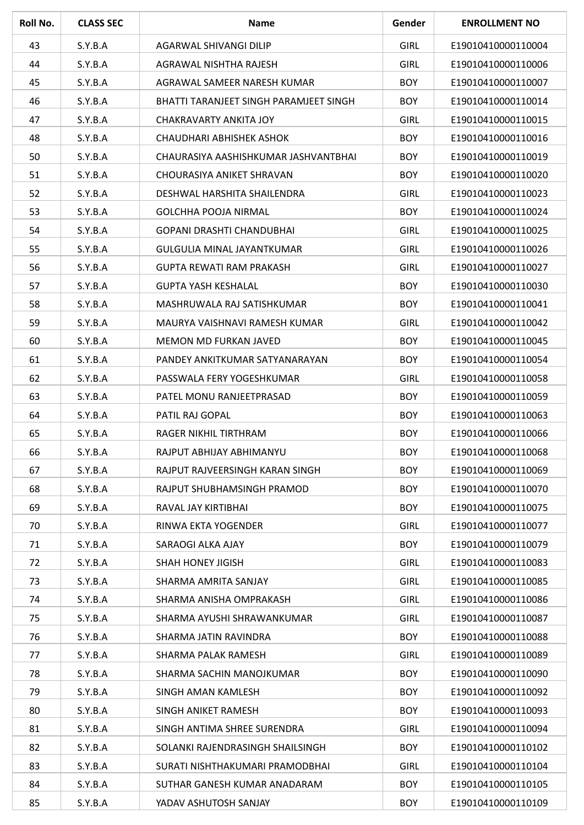| Roll No. | <b>CLASS SEC</b> | <b>Name</b>                            | Gender      | <b>ENROLLMENT NO</b> |
|----------|------------------|----------------------------------------|-------------|----------------------|
| 43       | S.Y.B.A          | AGARWAL SHIVANGI DILIP                 | <b>GIRL</b> | E19010410000110004   |
| 44       | S.Y.B.A          | AGRAWAL NISHTHA RAJESH                 | <b>GIRL</b> | E19010410000110006   |
| 45       | S.Y.B.A          | AGRAWAL SAMEER NARESH KUMAR            | <b>BOY</b>  | E19010410000110007   |
| 46       | S.Y.B.A          | BHATTI TARANJEET SINGH PARAMJEET SINGH | <b>BOY</b>  | E19010410000110014   |
| 47       | S.Y.B.A          | <b>CHAKRAVARTY ANKITA JOY</b>          | <b>GIRL</b> | E19010410000110015   |
| 48       | S.Y.B.A          | CHAUDHARI ABHISHEK ASHOK               | <b>BOY</b>  | E19010410000110016   |
| 50       | S.Y.B.A          | CHAURASIYA AASHISHKUMAR JASHVANTBHAI   | <b>BOY</b>  | E19010410000110019   |
| 51       | S.Y.B.A          | CHOURASIYA ANIKET SHRAVAN              | <b>BOY</b>  | E19010410000110020   |
| 52       | S.Y.B.A          | DESHWAL HARSHITA SHAILENDRA            | <b>GIRL</b> | E19010410000110023   |
| 53       | S.Y.B.A          | <b>GOLCHHA POOJA NIRMAL</b>            | <b>BOY</b>  | E19010410000110024   |
| 54       | S.Y.B.A          | <b>GOPANI DRASHTI CHANDUBHAI</b>       | <b>GIRL</b> | E19010410000110025   |
| 55       | S.Y.B.A          | <b>GULGULIA MINAL JAYANTKUMAR</b>      | <b>GIRL</b> | E19010410000110026   |
| 56       | S.Y.B.A          | <b>GUPTA REWATI RAM PRAKASH</b>        | <b>GIRL</b> | E19010410000110027   |
| 57       | S.Y.B.A          | <b>GUPTA YASH KESHALAL</b>             | <b>BOY</b>  | E19010410000110030   |
| 58       | S.Y.B.A          | MASHRUWALA RAJ SATISHKUMAR             | <b>BOY</b>  | E19010410000110041   |
| 59       | S.Y.B.A          | MAURYA VAISHNAVI RAMESH KUMAR          | <b>GIRL</b> | E19010410000110042   |
| 60       | S.Y.B.A          | <b>MEMON MD FURKAN JAVED</b>           | <b>BOY</b>  | E19010410000110045   |
| 61       | S.Y.B.A          | PANDEY ANKITKUMAR SATYANARAYAN         | <b>BOY</b>  | E19010410000110054   |
| 62       | S.Y.B.A          | PASSWALA FERY YOGESHKUMAR              | <b>GIRL</b> | E19010410000110058   |
| 63       | S.Y.B.A          | PATEL MONU RANJEETPRASAD               | <b>BOY</b>  | E19010410000110059   |
| 64       | S.Y.B.A          | PATIL RAJ GOPAL                        | <b>BOY</b>  | E19010410000110063   |
| 65       | S.Y.B.A          | RAGER NIKHIL TIRTHRAM                  | <b>BOY</b>  | E19010410000110066   |
| 66       | S.Y.B.A          | RAJPUT ABHIJAY ABHIMANYU               | <b>BOY</b>  | E19010410000110068   |
| 67       | S.Y.B.A          | RAJPUT RAJVEERSINGH KARAN SINGH        | <b>BOY</b>  | E19010410000110069   |
| 68       | S.Y.B.A          | RAJPUT SHUBHAMSINGH PRAMOD             | <b>BOY</b>  | E19010410000110070   |
| 69       | S.Y.B.A          | RAVAL JAY KIRTIBHAI                    | <b>BOY</b>  | E19010410000110075   |
| 70       | S.Y.B.A          | RINWA EKTA YOGENDER                    | <b>GIRL</b> | E19010410000110077   |
| 71       | S.Y.B.A          | SARAOGI ALKA AJAY                      | <b>BOY</b>  | E19010410000110079   |
| 72       | S.Y.B.A          | <b>SHAH HONEY JIGISH</b>               | <b>GIRL</b> | E19010410000110083   |
| 73       | S.Y.B.A          | SHARMA AMRITA SANJAY                   | <b>GIRL</b> | E19010410000110085   |
| 74       | S.Y.B.A          | SHARMA ANISHA OMPRAKASH                | <b>GIRL</b> | E19010410000110086   |
| 75       | S.Y.B.A          | SHARMA AYUSHI SHRAWANKUMAR             | <b>GIRL</b> | E19010410000110087   |
| 76       | S.Y.B.A          | SHARMA JATIN RAVINDRA                  | <b>BOY</b>  | E19010410000110088   |
| 77       | S.Y.B.A          | SHARMA PALAK RAMESH                    | <b>GIRL</b> | E19010410000110089   |
| 78       | S.Y.B.A          | SHARMA SACHIN MANOJKUMAR               | <b>BOY</b>  | E19010410000110090   |
| 79       | S.Y.B.A          | SINGH AMAN KAMLESH                     | <b>BOY</b>  | E19010410000110092   |
| 80       | S.Y.B.A          | SINGH ANIKET RAMESH                    | <b>BOY</b>  | E19010410000110093   |
| 81       | S.Y.B.A          | SINGH ANTIMA SHREE SURENDRA            | <b>GIRL</b> | E19010410000110094   |
| 82       | S.Y.B.A          | SOLANKI RAJENDRASINGH SHAILSINGH       | <b>BOY</b>  | E19010410000110102   |
| 83       | S.Y.B.A          | SURATI NISHTHAKUMARI PRAMODBHAI        | <b>GIRL</b> | E19010410000110104   |
| 84       | S.Y.B.A          | SUTHAR GANESH KUMAR ANADARAM           | <b>BOY</b>  | E19010410000110105   |
| 85       | S.Y.B.A          | YADAV ASHUTOSH SANJAY                  | <b>BOY</b>  | E19010410000110109   |